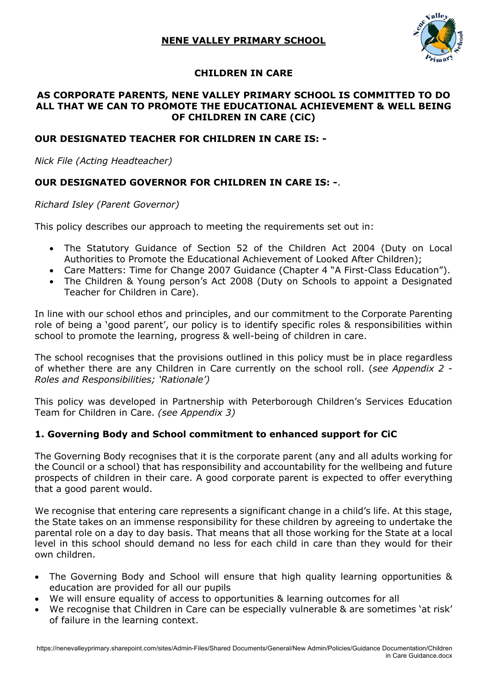

## **CHILDREN IN CARE**

#### **AS CORPORATE PARENTS, NENE VALLEY PRIMARY SCHOOL IS COMMITTED TO DO ALL THAT WE CAN TO PROMOTE THE EDUCATIONAL ACHIEVEMENT & WELL BEING OF CHILDREN IN CARE (CiC)**

#### **OUR DESIGNATED TEACHER FOR CHILDREN IN CARE IS: -**

*Nick File (Acting Headteacher)*

### **OUR DESIGNATED GOVERNOR FOR CHILDREN IN CARE IS: -**.

*Richard Isley (Parent Governor)*

This policy describes our approach to meeting the requirements set out in:

- The Statutory Guidance of Section 52 of the Children Act 2004 (Duty on Local Authorities to Promote the Educational Achievement of Looked After Children);
- Care Matters: Time for Change 2007 Guidance (Chapter 4 "A First-Class Education").
- The Children & Young person's Act 2008 (Duty on Schools to appoint a Designated Teacher for Children in Care).

In line with our school ethos and principles, and our commitment to the Corporate Parenting role of being a 'good parent', our policy is to identify specific roles & responsibilities within school to promote the learning, progress & well-being of children in care.

The school recognises that the provisions outlined in this policy must be in place regardless of whether there are any Children in Care currently on the school roll. (*see Appendix 2 - Roles and Responsibilities; 'Rationale')* 

This policy was developed in Partnership with Peterborough Children's Services Education Team for Children in Care. *(see Appendix 3)*

#### **1. Governing Body and School commitment to enhanced support for CiC**

The Governing Body recognises that it is the corporate parent (any and all adults working for the Council or a school) that has responsibility and accountability for the wellbeing and future prospects of children in their care. A good corporate parent is expected to offer everything that a good parent would.

We recognise that entering care represents a significant change in a child's life. At this stage, the State takes on an immense responsibility for these children by agreeing to undertake the parental role on a day to day basis. That means that all those working for the State at a local level in this school should demand no less for each child in care than they would for their own children.

- The Governing Body and School will ensure that high quality learning opportunities & education are provided for all our pupils
- We will ensure equality of access to opportunities & learning outcomes for all
- We recognise that Children in Care can be especially vulnerable & are sometimes 'at risk' of failure in the learning context.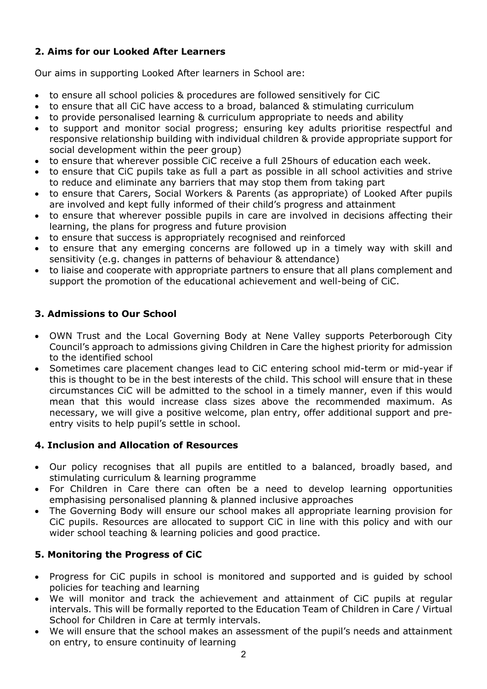# **2. Aims for our Looked After Learners**

Our aims in supporting Looked After learners in School are:

- to ensure all school policies & procedures are followed sensitively for CiC
- to ensure that all CiC have access to a broad, balanced & stimulating curriculum
- to provide personalised learning & curriculum appropriate to needs and ability
- to support and monitor social progress; ensuring key adults prioritise respectful and responsive relationship building with individual children & provide appropriate support for social development within the peer group)
- to ensure that wherever possible CiC receive a full 25hours of education each week.
- to ensure that CiC pupils take as full a part as possible in all school activities and strive to reduce and eliminate any barriers that may stop them from taking part
- to ensure that Carers, Social Workers & Parents (as appropriate) of Looked After pupils are involved and kept fully informed of their child's progress and attainment
- to ensure that wherever possible pupils in care are involved in decisions affecting their learning, the plans for progress and future provision
- to ensure that success is appropriately recognised and reinforced
- to ensure that any emerging concerns are followed up in a timely way with skill and sensitivity (e.g. changes in patterns of behaviour & attendance)
- to liaise and cooperate with appropriate partners to ensure that all plans complement and support the promotion of the educational achievement and well-being of CiC.

# **3. Admissions to Our School**

- OWN Trust and the Local Governing Body at Nene Valley supports Peterborough City Council's approach to admissions giving Children in Care the highest priority for admission to the identified school
- Sometimes care placement changes lead to CiC entering school mid-term or mid-year if this is thought to be in the best interests of the child. This school will ensure that in these circumstances CiC will be admitted to the school in a timely manner, even if this would mean that this would increase class sizes above the recommended maximum. As necessary, we will give a positive welcome, plan entry, offer additional support and preentry visits to help pupil's settle in school.

# **4. Inclusion and Allocation of Resources**

- Our policy recognises that all pupils are entitled to a balanced, broadly based, and stimulating curriculum & learning programme
- For Children in Care there can often be a need to develop learning opportunities emphasising personalised planning & planned inclusive approaches
- The Governing Body will ensure our school makes all appropriate learning provision for CiC pupils. Resources are allocated to support CiC in line with this policy and with our wider school teaching & learning policies and good practice.

# **5. Monitoring the Progress of CiC**

- Progress for CiC pupils in school is monitored and supported and is guided by school policies for teaching and learning
- We will monitor and track the achievement and attainment of CiC pupils at regular intervals. This will be formally reported to the Education Team of Children in Care / Virtual School for Children in Care at termly intervals.
- We will ensure that the school makes an assessment of the pupil's needs and attainment on entry, to ensure continuity of learning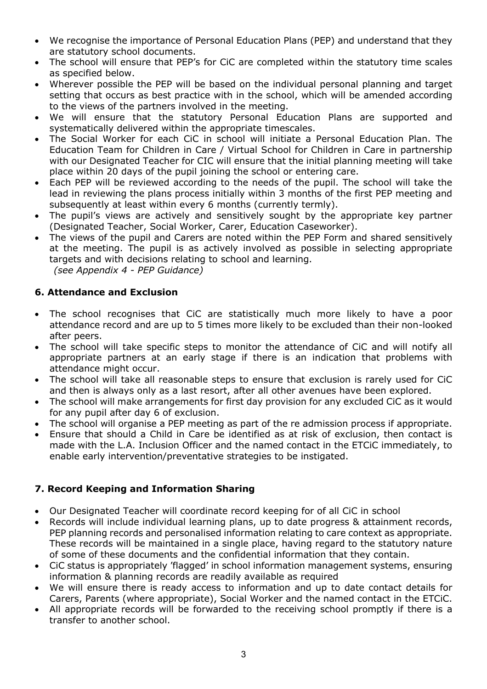- We recognise the importance of Personal Education Plans (PEP) and understand that they are statutory school documents.
- The school will ensure that PEP's for CiC are completed within the statutory time scales as specified below.
- Wherever possible the PEP will be based on the individual personal planning and target setting that occurs as best practice with in the school, which will be amended according to the views of the partners involved in the meeting.
- We will ensure that the statutory Personal Education Plans are supported and systematically delivered within the appropriate timescales.
- The Social Worker for each CiC in school will initiate a Personal Education Plan. The Education Team for Children in Care / Virtual School for Children in Care in partnership with our Designated Teacher for CIC will ensure that the initial planning meeting will take place within 20 days of the pupil joining the school or entering care.
- Each PEP will be reviewed according to the needs of the pupil. The school will take the lead in reviewing the plans process initially within 3 months of the first PEP meeting and subsequently at least within every 6 months (currently termly).
- The pupil's views are actively and sensitively sought by the appropriate key partner (Designated Teacher, Social Worker, Carer, Education Caseworker).
- The views of the pupil and Carers are noted within the PEP Form and shared sensitively at the meeting. The pupil is as actively involved as possible in selecting appropriate targets and with decisions relating to school and learning.  *(see Appendix 4 - PEP Guidance)*

### **6. Attendance and Exclusion**

- The school recognises that CiC are statistically much more likely to have a poor attendance record and are up to 5 times more likely to be excluded than their non-looked after peers.
- The school will take specific steps to monitor the attendance of CiC and will notify all appropriate partners at an early stage if there is an indication that problems with attendance might occur.
- The school will take all reasonable steps to ensure that exclusion is rarely used for CiC and then is always only as a last resort, after all other avenues have been explored.
- The school will make arrangements for first day provision for any excluded CiC as it would for any pupil after day 6 of exclusion.
- The school will organise a PEP meeting as part of the re admission process if appropriate.
- Ensure that should a Child in Care be identified as at risk of exclusion, then contact is made with the L.A. Inclusion Officer and the named contact in the ETCiC immediately, to enable early intervention/preventative strategies to be instigated.

## **7. Record Keeping and Information Sharing**

- Our Designated Teacher will coordinate record keeping for of all CiC in school
- Records will include individual learning plans, up to date progress & attainment records, PEP planning records and personalised information relating to care context as appropriate. These records will be maintained in a single place, having regard to the statutory nature of some of these documents and the confidential information that they contain.
- CiC status is appropriately 'flagged' in school information management systems, ensuring information & planning records are readily available as required
- We will ensure there is ready access to information and up to date contact details for Carers, Parents (where appropriate), Social Worker and the named contact in the ETCiC.
- All appropriate records will be forwarded to the receiving school promptly if there is a transfer to another school.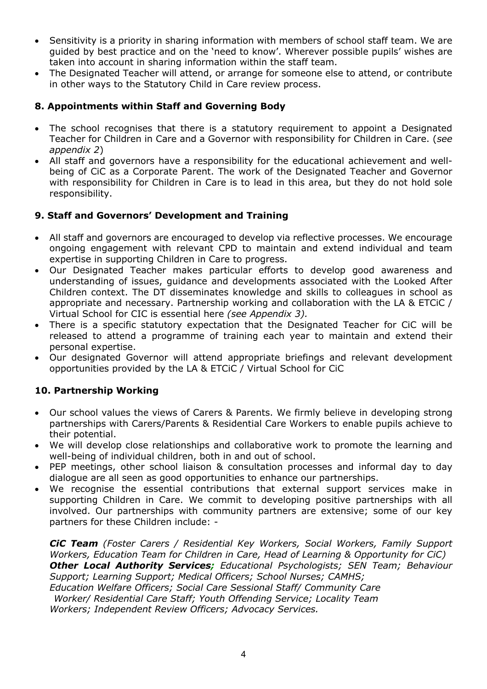- Sensitivity is a priority in sharing information with members of school staff team. We are guided by best practice and on the 'need to know'. Wherever possible pupils' wishes are taken into account in sharing information within the staff team.
- The Designated Teacher will attend, or arrange for someone else to attend, or contribute in other ways to the Statutory Child in Care review process.

### **8. Appointments within Staff and Governing Body**

- The school recognises that there is a statutory requirement to appoint a Designated Teacher for Children in Care and a Governor with responsibility for Children in Care. (*see appendix 2*)
- All staff and governors have a responsibility for the educational achievement and wellbeing of CiC as a Corporate Parent. The work of the Designated Teacher and Governor with responsibility for Children in Care is to lead in this area, but they do not hold sole responsibility.

### **9. Staff and Governors' Development and Training**

- All staff and governors are encouraged to develop via reflective processes. We encourage ongoing engagement with relevant CPD to maintain and extend individual and team expertise in supporting Children in Care to progress.
- Our Designated Teacher makes particular efforts to develop good awareness and understanding of issues, guidance and developments associated with the Looked After Children context. The DT disseminates knowledge and skills to colleagues in school as appropriate and necessary. Partnership working and collaboration with the LA & ETCiC / Virtual School for CIC is essential here *(see Appendix 3).*
- There is a specific statutory expectation that the Designated Teacher for CiC will be released to attend a programme of training each year to maintain and extend their personal expertise.
- Our designated Governor will attend appropriate briefings and relevant development opportunities provided by the LA & ETCiC / Virtual School for CiC

## **10. Partnership Working**

- Our school values the views of Carers & Parents. We firmly believe in developing strong partnerships with Carers/Parents & Residential Care Workers to enable pupils achieve to their potential.
- We will develop close relationships and collaborative work to promote the learning and well-being of individual children, both in and out of school.
- PEP meetings, other school liaison & consultation processes and informal day to day dialogue are all seen as good opportunities to enhance our partnerships.
- We recognise the essential contributions that external support services make in supporting Children in Care. We commit to developing positive partnerships with all involved. Our partnerships with community partners are extensive; some of our key partners for these Children include: -

*CiC Team (Foster Carers / Residential Key Workers, Social Workers, Family Support Workers, Education Team for Children in Care, Head of Learning & Opportunity for CiC) Other Local Authority Services; Educational Psychologists; SEN Team; Behaviour Support; Learning Support; Medical Officers; School Nurses; CAMHS; Education Welfare Officers; Social Care Sessional Staff/ Community Care Worker/ Residential Care Staff; Youth Offending Service; Locality Team Workers; Independent Review Officers; Advocacy Services.*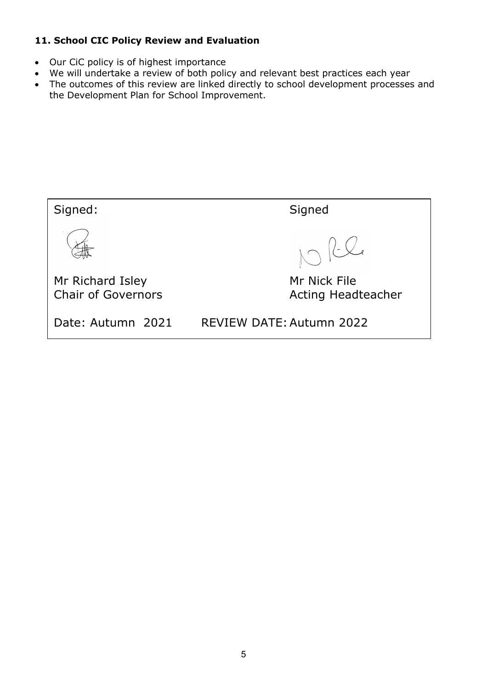## **11. School CIC Policy Review and Evaluation**

- Our CiC policy is of highest importance
- We will undertake a review of both policy and relevant best practices each year
- The outcomes of this review are linked directly to school development processes and the Development Plan for School Improvement.

Signed: Signed  $\left\langle -\bigcup_{\alpha}$ Mr Richard Isley Mr Nick File Chair of Governors **Acting Headteacher** Date: Autumn 2021 REVIEW DATE: Autumn 2022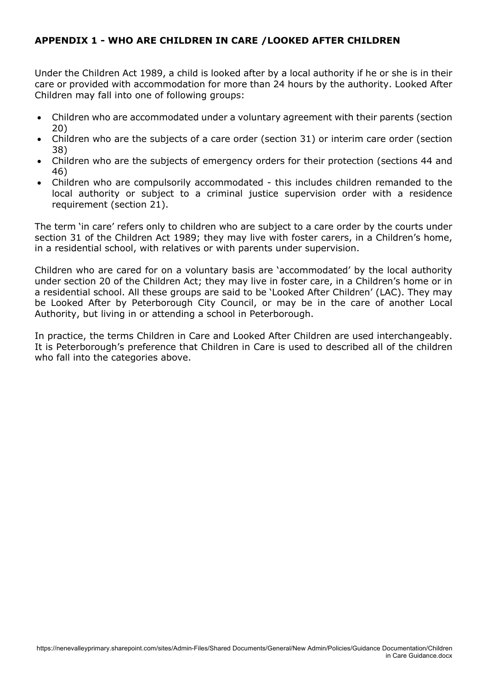## **APPENDIX 1 - WHO ARE CHILDREN IN CARE /LOOKED AFTER CHILDREN**

Under the Children Act 1989, a child is looked after by a local authority if he or she is in their care or provided with accommodation for more than 24 hours by the authority. Looked After Children may fall into one of following groups:

- Children who are accommodated under a voluntary agreement with their parents (section 20)
- Children who are the subjects of a care order (section 31) or interim care order (section 38)
- Children who are the subjects of emergency orders for their protection (sections 44 and 46)
- Children who are compulsorily accommodated this includes children remanded to the local authority or subject to a criminal justice supervision order with a residence requirement (section 21).

The term 'in care' refers only to children who are subject to a care order by the courts under section 31 of the Children Act 1989; they may live with foster carers, in a Children's home, in a residential school, with relatives or with parents under supervision.

Children who are cared for on a voluntary basis are 'accommodated' by the local authority under section 20 of the Children Act; they may live in foster care, in a Children's home or in a residential school. All these groups are said to be 'Looked After Children' (LAC). They may be Looked After by Peterborough City Council, or may be in the care of another Local Authority, but living in or attending a school in Peterborough.

In practice, the terms Children in Care and Looked After Children are used interchangeably. It is Peterborough's preference that Children in Care is used to described all of the children who fall into the categories above.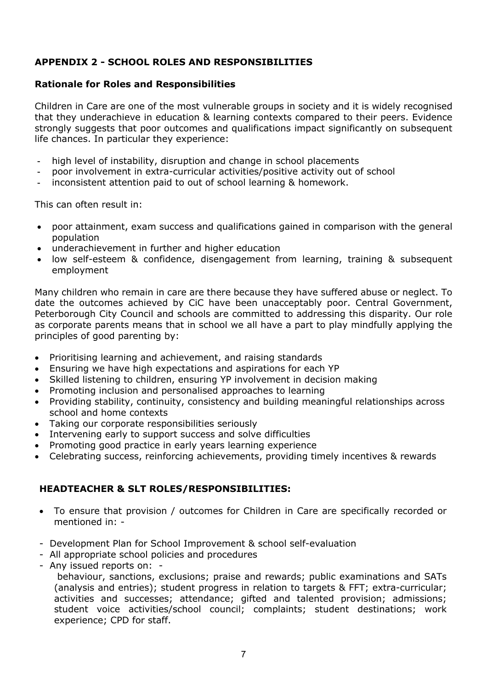## **APPENDIX 2 - SCHOOL ROLES AND RESPONSIBILITIES**

#### **Rationale for Roles and Responsibilities**

Children in Care are one of the most vulnerable groups in society and it is widely recognised that they underachieve in education & learning contexts compared to their peers. Evidence strongly suggests that poor outcomes and qualifications impact significantly on subsequent life chances. In particular they experience:

- high level of instability, disruption and change in school placements
- poor involvement in extra-curricular activities/positive activity out of school
- inconsistent attention paid to out of school learning & homework.

This can often result in:

- poor attainment, exam success and qualifications gained in comparison with the general population
- underachievement in further and higher education
- low self-esteem & confidence, disengagement from learning, training & subsequent employment

Many children who remain in care are there because they have suffered abuse or neglect. To date the outcomes achieved by CiC have been unacceptably poor. Central Government, Peterborough City Council and schools are committed to addressing this disparity. Our role as corporate parents means that in school we all have a part to play mindfully applying the principles of good parenting by:

- Prioritising learning and achievement, and raising standards
- Ensuring we have high expectations and aspirations for each YP
- Skilled listening to children, ensuring YP involvement in decision making
- Promoting inclusion and personalised approaches to learning
- Providing stability, continuity, consistency and building meaningful relationships across school and home contexts
- Taking our corporate responsibilities seriously
- Intervening early to support success and solve difficulties
- Promoting good practice in early years learning experience
- Celebrating success, reinforcing achievements, providing timely incentives & rewards

## **HEADTEACHER & SLT ROLES/RESPONSIBILITIES:**

- To ensure that provision / outcomes for Children in Care are specifically recorded or mentioned in: -
- Development Plan for School Improvement & school self-evaluation
- All appropriate school policies and procedures
- Any issued reports on: -

behaviour, sanctions, exclusions; praise and rewards; public examinations and SATs (analysis and entries); student progress in relation to targets & FFT; extra-curricular; activities and successes; attendance; gifted and talented provision; admissions; student voice activities/school council; complaints; student destinations; work experience; CPD for staff.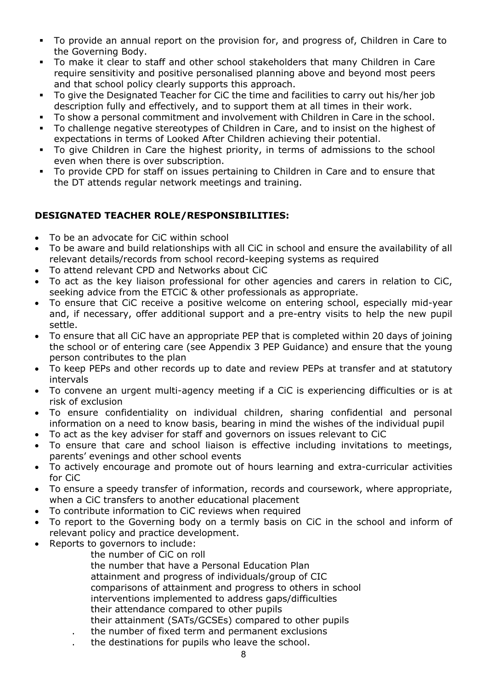- To provide an annual report on the provision for, and progress of, Children in Care to the Governing Body.
- § To make it clear to staff and other school stakeholders that many Children in Care require sensitivity and positive personalised planning above and beyond most peers and that school policy clearly supports this approach.
- To give the Designated Teacher for CiC the time and facilities to carry out his/her job description fully and effectively, and to support them at all times in their work.
- To show a personal commitment and involvement with Children in Care in the school.
- § To challenge negative stereotypes of Children in Care, and to insist on the highest of expectations in terms of Looked After Children achieving their potential.
- § To give Children in Care the highest priority, in terms of admissions to the school even when there is over subscription.
- § To provide CPD for staff on issues pertaining to Children in Care and to ensure that the DT attends regular network meetings and training.

### **DESIGNATED TEACHER ROLE/RESPONSIBILITIES:**

- To be an advocate for CiC within school
- To be aware and build relationships with all CiC in school and ensure the availability of all relevant details/records from school record-keeping systems as required
- To attend relevant CPD and Networks about CiC
- To act as the key liaison professional for other agencies and carers in relation to CiC, seeking advice from the ETCiC & other professionals as appropriate.
- To ensure that CiC receive a positive welcome on entering school, especially mid-year and, if necessary, offer additional support and a pre-entry visits to help the new pupil settle.
- To ensure that all CiC have an appropriate PEP that is completed within 20 days of joining the school or of entering care (see Appendix 3 PEP Guidance) and ensure that the young person contributes to the plan
- To keep PEPs and other records up to date and review PEPs at transfer and at statutory intervals
- To convene an urgent multi-agency meeting if a CiC is experiencing difficulties or is at risk of exclusion
- To ensure confidentiality on individual children, sharing confidential and personal information on a need to know basis, bearing in mind the wishes of the individual pupil
- To act as the key adviser for staff and governors on issues relevant to CiC
- To ensure that care and school liaison is effective including invitations to meetings, parents' evenings and other school events
- To actively encourage and promote out of hours learning and extra-curricular activities for CiC
- To ensure a speedy transfer of information, records and coursework, where appropriate, when a CiC transfers to another educational placement
- To contribute information to CiC reviews when required
- To report to the Governing body on a termly basis on CiC in the school and inform of relevant policy and practice development.
- Reports to governors to include:
	- the number of CiC on roll the number that have a Personal Education Plan attainment and progress of individuals/group of CIC comparisons of attainment and progress to others in school interventions implemented to address gaps/difficulties their attendance compared to other pupils their attainment (SATs/GCSEs) compared to other pupils . the number of fixed term and permanent exclusions
	- . the destinations for pupils who leave the school.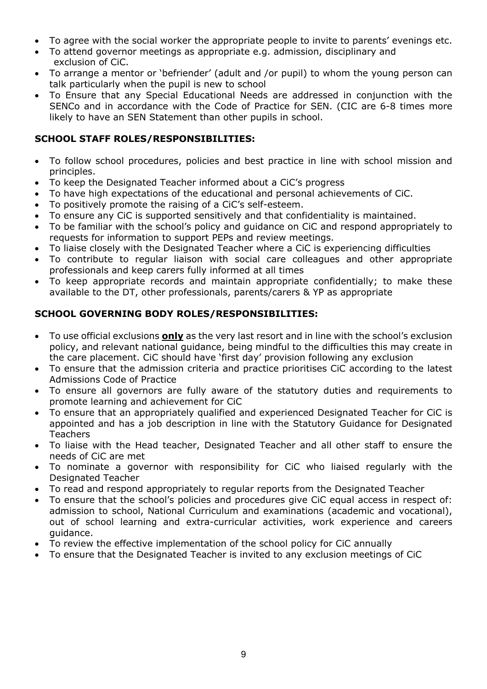- To agree with the social worker the appropriate people to invite to parents' evenings etc.
- To attend governor meetings as appropriate e.g. admission, disciplinary and exclusion of CiC.
- To arrange a mentor or 'befriender' (adult and /or pupil) to whom the young person can talk particularly when the pupil is new to school
- To Ensure that any Special Educational Needs are addressed in conjunction with the SENCo and in accordance with the Code of Practice for SEN. (CIC are 6-8 times more likely to have an SEN Statement than other pupils in school.

## **SCHOOL STAFF ROLES/RESPONSIBILITIES:**

- To follow school procedures, policies and best practice in line with school mission and principles.
- To keep the Designated Teacher informed about a CiC's progress
- To have high expectations of the educational and personal achievements of CiC.
- To positively promote the raising of a CiC's self-esteem.
- To ensure any CiC is supported sensitively and that confidentiality is maintained.
- To be familiar with the school's policy and guidance on CiC and respond appropriately to requests for information to support PEPs and review meetings.
- To liaise closely with the Designated Teacher where a CiC is experiencing difficulties
- To contribute to regular liaison with social care colleagues and other appropriate professionals and keep carers fully informed at all times
- To keep appropriate records and maintain appropriate confidentially; to make these available to the DT, other professionals, parents/carers & YP as appropriate

## **SCHOOL GOVERNING BODY ROLES/RESPONSIBILITIES:**

- To use official exclusions **only** as the very last resort and in line with the school's exclusion policy, and relevant national guidance, being mindful to the difficulties this may create in the care placement. CiC should have 'first day' provision following any exclusion
- To ensure that the admission criteria and practice prioritises CiC according to the latest Admissions Code of Practice
- To ensure all governors are fully aware of the statutory duties and requirements to promote learning and achievement for CiC
- To ensure that an appropriately qualified and experienced Designated Teacher for CiC is appointed and has a job description in line with the Statutory Guidance for Designated **Teachers**
- To liaise with the Head teacher, Designated Teacher and all other staff to ensure the needs of CiC are met
- To nominate a governor with responsibility for CiC who liaised regularly with the Designated Teacher
- To read and respond appropriately to regular reports from the Designated Teacher
- To ensure that the school's policies and procedures give CiC equal access in respect of: admission to school, National Curriculum and examinations (academic and vocational), out of school learning and extra-curricular activities, work experience and careers guidance.
- To review the effective implementation of the school policy for CiC annually
- To ensure that the Designated Teacher is invited to any exclusion meetings of CiC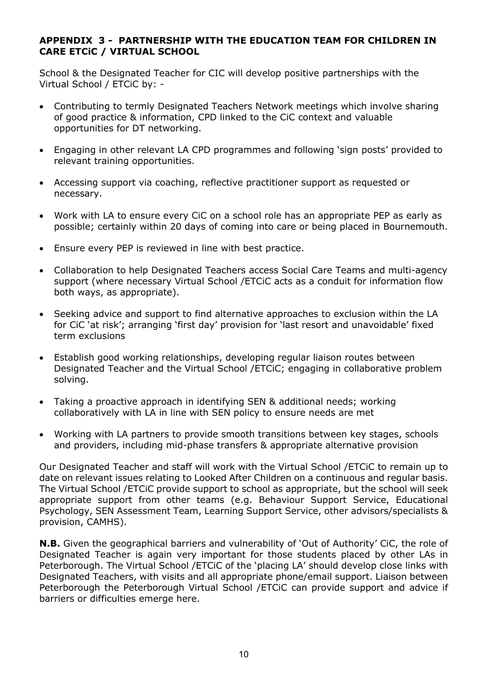### **APPENDIX 3 - PARTNERSHIP WITH THE EDUCATION TEAM FOR CHILDREN IN CARE ETCiC / VIRTUAL SCHOOL**

School & the Designated Teacher for CIC will develop positive partnerships with the Virtual School / ETCiC by: -

- Contributing to termly Designated Teachers Network meetings which involve sharing of good practice & information, CPD linked to the CiC context and valuable opportunities for DT networking.
- Engaging in other relevant LA CPD programmes and following 'sign posts' provided to relevant training opportunities.
- Accessing support via coaching, reflective practitioner support as requested or necessary.
- Work with LA to ensure every CiC on a school role has an appropriate PEP as early as possible; certainly within 20 days of coming into care or being placed in Bournemouth.
- Ensure every PEP is reviewed in line with best practice.
- Collaboration to help Designated Teachers access Social Care Teams and multi-agency support (where necessary Virtual School /ETCiC acts as a conduit for information flow both ways, as appropriate).
- Seeking advice and support to find alternative approaches to exclusion within the LA for CiC 'at risk'; arranging 'first day' provision for 'last resort and unavoidable' fixed term exclusions
- Establish good working relationships, developing regular liaison routes between Designated Teacher and the Virtual School /ETCiC; engaging in collaborative problem solving.
- Taking a proactive approach in identifying SEN & additional needs; working collaboratively with LA in line with SEN policy to ensure needs are met
- Working with LA partners to provide smooth transitions between key stages, schools and providers, including mid-phase transfers & appropriate alternative provision

Our Designated Teacher and staff will work with the Virtual School /ETCiC to remain up to date on relevant issues relating to Looked After Children on a continuous and regular basis. The Virtual School /ETCiC provide support to school as appropriate, but the school will seek appropriate support from other teams (e.g. Behaviour Support Service, Educational Psychology, SEN Assessment Team, Learning Support Service, other advisors/specialists & provision, CAMHS).

**N.B.** Given the geographical barriers and vulnerability of 'Out of Authority' CiC, the role of Designated Teacher is again very important for those students placed by other LAs in Peterborough. The Virtual School /ETCiC of the 'placing LA' should develop close links with Designated Teachers, with visits and all appropriate phone/email support. Liaison between Peterborough the Peterborough Virtual School /ETCiC can provide support and advice if barriers or difficulties emerge here.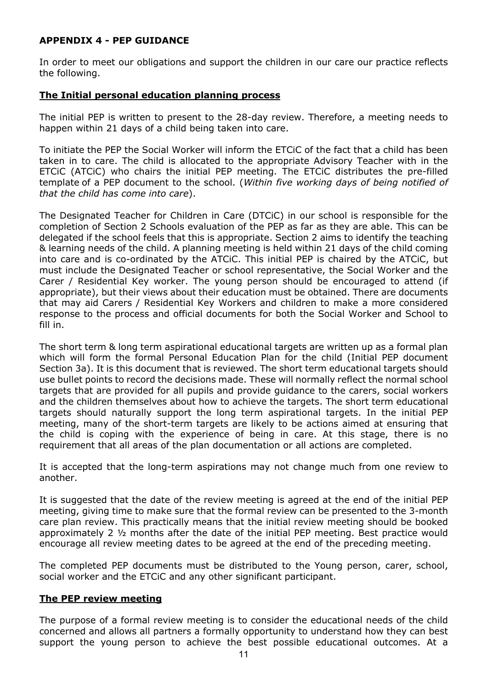### **APPENDIX 4 - PEP GUIDANCE**

In order to meet our obligations and support the children in our care our practice reflects the following.

#### **The Initial personal education planning process**

The initial PEP is written to present to the 28-day review. Therefore, a meeting needs to happen within 21 days of a child being taken into care.

To initiate the PEP the Social Worker will inform the ETCiC of the fact that a child has been taken in to care. The child is allocated to the appropriate Advisory Teacher with in the ETCiC (ATCiC) who chairs the initial PEP meeting. The ETCiC distributes the pre-filled template of a PEP document to the school. (*Within five working days of being notified of that the child has come into care*).

The Designated Teacher for Children in Care (DTCiC) in our school is responsible for the completion of Section 2 Schools evaluation of the PEP as far as they are able. This can be delegated if the school feels that this is appropriate. Section 2 aims to identify the teaching & learning needs of the child. A planning meeting is held within 21 days of the child coming into care and is co-ordinated by the ATCiC. This initial PEP is chaired by the ATCiC, but must include the Designated Teacher or school representative, the Social Worker and the Carer / Residential Key worker. The young person should be encouraged to attend (if appropriate), but their views about their education must be obtained. There are documents that may aid Carers / Residential Key Workers and children to make a more considered response to the process and official documents for both the Social Worker and School to fill in.

The short term & long term aspirational educational targets are written up as a formal plan which will form the formal Personal Education Plan for the child (Initial PEP document Section 3a). It is this document that is reviewed. The short term educational targets should use bullet points to record the decisions made. These will normally reflect the normal school targets that are provided for all pupils and provide guidance to the carers, social workers and the children themselves about how to achieve the targets. The short term educational targets should naturally support the long term aspirational targets. In the initial PEP meeting, many of the short-term targets are likely to be actions aimed at ensuring that the child is coping with the experience of being in care. At this stage, there is no requirement that all areas of the plan documentation or all actions are completed.

It is accepted that the long-term aspirations may not change much from one review to another.

It is suggested that the date of the review meeting is agreed at the end of the initial PEP meeting, giving time to make sure that the formal review can be presented to the 3-month care plan review. This practically means that the initial review meeting should be booked approximately 2 ½ months after the date of the initial PEP meeting. Best practice would encourage all review meeting dates to be agreed at the end of the preceding meeting.

The completed PEP documents must be distributed to the Young person, carer, school, social worker and the ETCiC and any other significant participant.

#### **The PEP review meeting**

The purpose of a formal review meeting is to consider the educational needs of the child concerned and allows all partners a formally opportunity to understand how they can best support the young person to achieve the best possible educational outcomes. At a